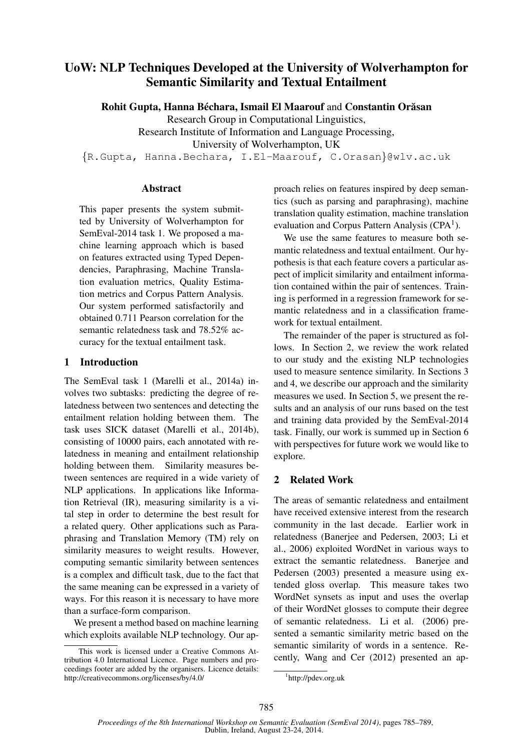# UoW: NLP Techniques Developed at the University of Wolverhampton for Semantic Similarity and Textual Entailment

Rohit Gupta, Hanna Béchara, Ismail El Maarouf and Constantin Orăsan

Research Group in Computational Linguistics,

Research Institute of Information and Language Processing,

University of Wolverhampton, UK

{R.Gupta, Hanna.Bechara, I.El-Maarouf, C.Orasan}@wlv.ac.uk

### **Abstract**

This paper presents the system submitted by University of Wolverhampton for SemEval-2014 task 1. We proposed a machine learning approach which is based on features extracted using Typed Dependencies, Paraphrasing, Machine Translation evaluation metrics, Quality Estimation metrics and Corpus Pattern Analysis. Our system performed satisfactorily and obtained 0.711 Pearson correlation for the semantic relatedness task and 78.52% accuracy for the textual entailment task.

## 1 Introduction

The SemEval task 1 (Marelli et al., 2014a) involves two subtasks: predicting the degree of relatedness between two sentences and detecting the entailment relation holding between them. The task uses SICK dataset (Marelli et al., 2014b), consisting of 10000 pairs, each annotated with relatedness in meaning and entailment relationship holding between them. Similarity measures between sentences are required in a wide variety of NLP applications. In applications like Information Retrieval (IR), measuring similarity is a vital step in order to determine the best result for a related query. Other applications such as Paraphrasing and Translation Memory (TM) rely on similarity measures to weight results. However, computing semantic similarity between sentences is a complex and difficult task, due to the fact that the same meaning can be expressed in a variety of ways. For this reason it is necessary to have more than a surface-form comparison.

We present a method based on machine learning which exploits available NLP technology. Our approach relies on features inspired by deep semantics (such as parsing and paraphrasing), machine translation quality estimation, machine translation evaluation and Corpus Pattern Analysis (CPA<sup>1</sup>).

We use the same features to measure both semantic relatedness and textual entailment. Our hypothesis is that each feature covers a particular aspect of implicit similarity and entailment information contained within the pair of sentences. Training is performed in a regression framework for semantic relatedness and in a classification framework for textual entailment.

The remainder of the paper is structured as follows. In Section 2, we review the work related to our study and the existing NLP technologies used to measure sentence similarity. In Sections 3 and 4, we describe our approach and the similarity measures we used. In Section 5, we present the results and an analysis of our runs based on the test and training data provided by the SemEval-2014 task. Finally, our work is summed up in Section 6 with perspectives for future work we would like to explore.

## 2 Related Work

The areas of semantic relatedness and entailment have received extensive interest from the research community in the last decade. Earlier work in relatedness (Banerjee and Pedersen, 2003; Li et al., 2006) exploited WordNet in various ways to extract the semantic relatedness. Banerjee and Pedersen (2003) presented a measure using extended gloss overlap. This measure takes two WordNet synsets as input and uses the overlap of their WordNet glosses to compute their degree of semantic relatedness. Li et al. (2006) presented a semantic similarity metric based on the semantic similarity of words in a sentence. Recently, Wang and Cer (2012) presented an ap-

This work is licensed under a Creative Commons Attribution 4.0 International Licence. Page numbers and proceedings footer are added by the organisers. Licence details: http://creativecommons.org/licenses/by/4.0/

<sup>1</sup> http://pdev.org.uk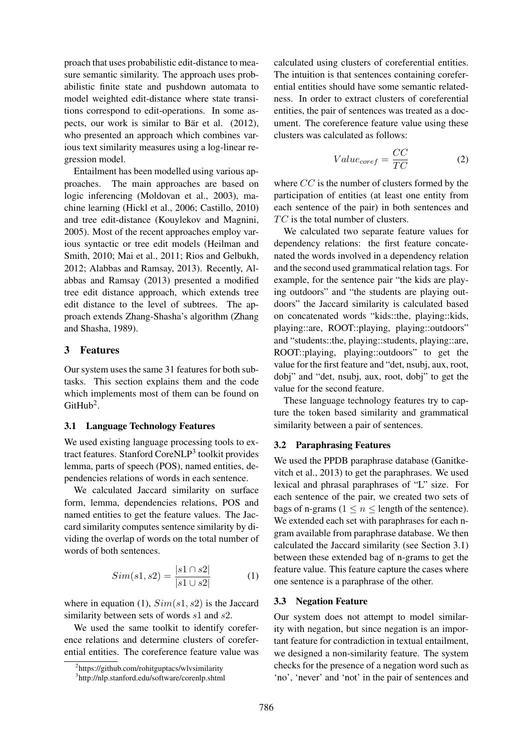proach that uses probabilistic edit-distance to measure semantic similarity. The approach uses probabilistic finite state and pushdown automata to model weighted edit-distance where state transitions correspond to edit-operations. In some aspects, our work is similar to Bär et al.  $(2012)$ , who presented an approach which combines various text similarity measures using a log-linear regression model.

Entailment has been modelled using various approaches. The main approaches are based on logic inferencing (Moldovan et al., 2003), machine learning (Hickl et al., 2006; Castillo, 2010) and tree edit-distance (Kouylekov and Magnini, 2005). Most of the recent approaches employ various syntactic or tree edit models (Heilman and Smith, 2010; Mai et al., 2011; Rios and Gelbukh, 2012; Alabbas and Ramsay, 2013). Recently, Alabbas and Ramsay (2013) presented a modified tree edit distance approach, which extends tree edit distance to the level of subtrees. The approach extends Zhang-Shasha's algorithm (Zhang and Shasha, 1989).

## 3 Features

Our system uses the same 31 features for both subtasks. This section explains them and the code which implements most of them can be found on  $G$ itHub<sup>2</sup>.

#### 3.1 Language Technology Features

We used existing language processing tools to extract features. Stanford CoreNLP<sup>3</sup> toolkit provides lemma, parts of speech (POS), named entities, dependencies relations of words in each sentence.

We calculated Jaccard similarity on surface form, lemma, dependencies relations, POS and named entities to get the feature values. The Jaccard similarity computes sentence similarity by dividing the overlap of words on the total number of words of both sentences.

$$
Sim(s1, s2) = \frac{|s1 \cap s2|}{|s1 \cup s2|}
$$
 (1)

where in equation (1),  $Sim(s1, s2)$  is the Jaccard similarity between sets of words  $s1$  and  $s2$ .

We used the same toolkit to identify coreference relations and determine clusters of coreferential entities. The coreference feature value was

calculated using clusters of coreferential entities. The intuition is that sentences containing coreferential entities should have some semantic relatedness. In order to extract clusters of coreferential entities, the pair of sentences was treated as a document. The coreference feature value using these clusters was calculated as follows:

$$
Value_{coref} = \frac{CC}{TC}
$$
 (2)

where CC is the number of clusters formed by the participation of entities (at least one entity from each sentence of the pair) in both sentences and  $TC$  is the total number of clusters.

We calculated two separate feature values for dependency relations: the first feature concatenated the words involved in a dependency relation and the second used grammatical relation tags. For example, for the sentence pair "the kids are playing outdoors" and "the students are playing outdoors" the Jaccard similarity is calculated based on concatenated words "kids::the, playing::kids, playing::are, ROOT::playing, playing::outdoors" and "students::the, playing::students, playing::are, ROOT::playing, playing::outdoors" to get the value for the first feature and "det, nsubj, aux, root, dobj" and "det, nsubj, aux, root, dobj" to get the value for the second feature.

These language technology features try to capture the token based similarity and grammatical similarity between a pair of sentences.

#### 3.2 Paraphrasing Features

We used the PPDB paraphrase database (Ganitkevitch et al., 2013) to get the paraphrases. We used lexical and phrasal paraphrases of "L" size. For each sentence of the pair, we created two sets of bags of n-grams ( $1 \le n \le$  length of the sentence). We extended each set with paraphrases for each ngram available from paraphrase database. We then calculated the Jaccard similarity (see Section 3.1) between these extended bag of n-grams to get the feature value. This feature capture the cases where one sentence is a paraphrase of the other.

#### 3.3 Negation Feature

Our system does not attempt to model similarity with negation, but since negation is an important feature for contradiction in textual entailment, we designed a non-similarity feature. The system checks for the presence of a negation word such as 'no', 'never' and 'not' in the pair of sentences and

<sup>&</sup>lt;sup>2</sup>https://github.com/rohitguptacs/wlvsimilarity

<sup>3</sup> http://nlp.stanford.edu/software/corenlp.shtml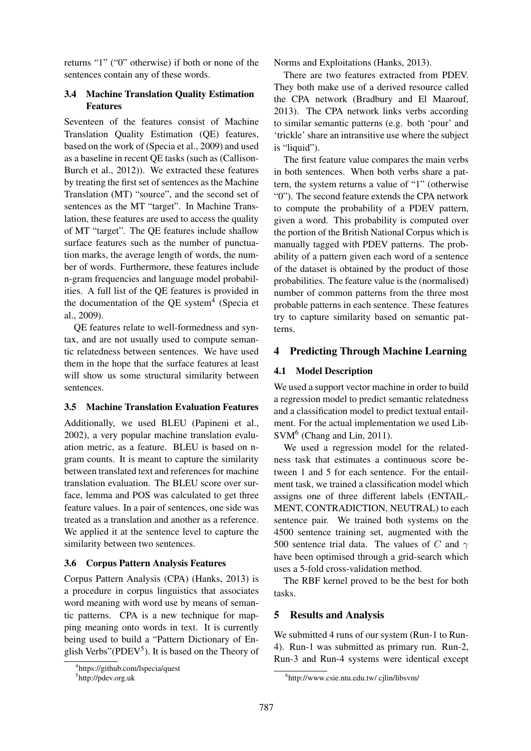returns "1" ("0" otherwise) if both or none of the sentences contain any of these words.

## 3.4 Machine Translation Quality Estimation Features

Seventeen of the features consist of Machine Translation Quality Estimation (QE) features, based on the work of (Specia et al., 2009) and used as a baseline in recent QE tasks (such as (Callison-Burch et al., 2012)). We extracted these features by treating the first set of sentences as the Machine Translation (MT) "source", and the second set of sentences as the MT "target". In Machine Translation, these features are used to access the quality of MT "target". The QE features include shallow surface features such as the number of punctuation marks, the average length of words, the number of words. Furthermore, these features include n-gram frequencies and language model probabilities. A full list of the QE features is provided in the documentation of the QE system<sup>4</sup> (Specia et al., 2009).

QE features relate to well-formedness and syntax, and are not usually used to compute semantic relatedness between sentences. We have used them in the hope that the surface features at least will show us some structural similarity between sentences.

#### 3.5 Machine Translation Evaluation Features

Additionally, we used BLEU (Papineni et al., 2002), a very popular machine translation evaluation metric, as a feature. BLEU is based on ngram counts. It is meant to capture the similarity between translated text and references for machine translation evaluation. The BLEU score over surface, lemma and POS was calculated to get three feature values. In a pair of sentences, one side was treated as a translation and another as a reference. We applied it at the sentence level to capture the similarity between two sentences.

#### 3.6 Corpus Pattern Analysis Features

Corpus Pattern Analysis (CPA) (Hanks, 2013) is a procedure in corpus linguistics that associates word meaning with word use by means of semantic patterns. CPA is a new technique for mapping meaning onto words in text. It is currently being used to build a "Pattern Dictionary of English Verbs" (PDEV<sup>5</sup>). It is based on the Theory of

Norms and Exploitations (Hanks, 2013).

There are two features extracted from PDEV. They both make use of a derived resource called the CPA network (Bradbury and El Maarouf, 2013). The CPA network links verbs according to similar semantic patterns (e.g. both 'pour' and 'trickle' share an intransitive use where the subject is "liquid").

The first feature value compares the main verbs in both sentences. When both verbs share a pattern, the system returns a value of "1" (otherwise "0"). The second feature extends the CPA network to compute the probability of a PDEV pattern, given a word. This probability is computed over the portion of the British National Corpus which is manually tagged with PDEV patterns. The probability of a pattern given each word of a sentence of the dataset is obtained by the product of those probabilities. The feature value is the (normalised) number of common patterns from the three most probable patterns in each sentence. These features try to capture similarity based on semantic patterns.

## 4 Predicting Through Machine Learning

## 4.1 Model Description

We used a support vector machine in order to build a regression model to predict semantic relatedness and a classification model to predict textual entailment. For the actual implementation we used Lib-SVM<sup>6</sup> (Chang and Lin, 2011).

We used a regression model for the relatedness task that estimates a continuous score between 1 and 5 for each sentence. For the entailment task, we trained a classification model which assigns one of three different labels (ENTAIL-MENT, CONTRADICTION, NEUTRAL) to each sentence pair. We trained both systems on the 4500 sentence training set, augmented with the 500 sentence trial data. The values of C and  $\gamma$ have been optimised through a grid-search which uses a 5-fold cross-validation method.

The RBF kernel proved to be the best for both tasks.

## 5 Results and Analysis

We submitted 4 runs of our system (Run-1 to Run-4). Run-1 was submitted as primary run. Run-2, Run-3 and Run-4 systems were identical except

<sup>4</sup> https://github.com/lspecia/quest

<sup>5</sup> http://pdev.org.uk

<sup>6</sup> http://www.csie.ntu.edu.tw/ cjlin/libsvm/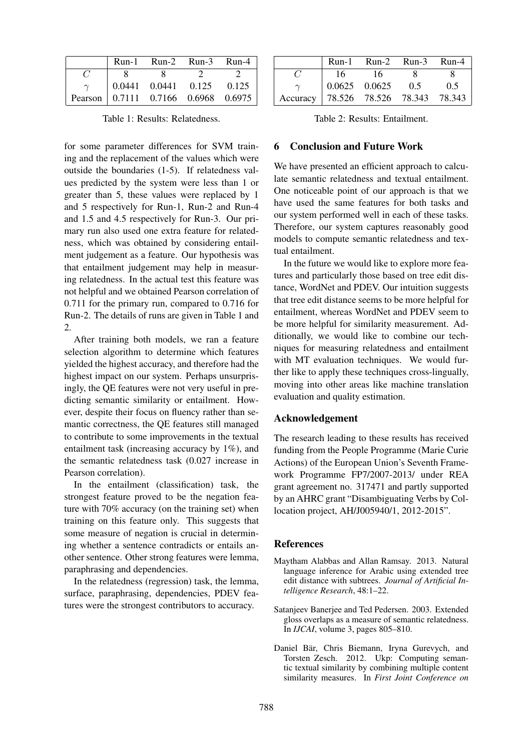|  | Run-1 Run-2 Run-3 Run-4                                         |  |
|--|-----------------------------------------------------------------|--|
|  |                                                                 |  |
|  | $\begin{array}{ l} 0.0441 & 0.0441 & 0.125 & 0.125 \end{array}$ |  |
|  | Pearson 0.7111 0.7166 0.6968 0.6975                             |  |

Table 1: Results: Relatedness.

for some parameter differences for SVM training and the replacement of the values which were outside the boundaries (1-5). If relatedness values predicted by the system were less than 1 or greater than 5, these values were replaced by 1 and 5 respectively for Run-1, Run-2 and Run-4 and 1.5 and 4.5 respectively for Run-3. Our primary run also used one extra feature for relatedness, which was obtained by considering entailment judgement as a feature. Our hypothesis was that entailment judgement may help in measuring relatedness. In the actual test this feature was not helpful and we obtained Pearson correlation of 0.711 for the primary run, compared to 0.716 for Run-2. The details of runs are given in Table 1 and 2.

After training both models, we ran a feature selection algorithm to determine which features yielded the highest accuracy, and therefore had the highest impact on our system. Perhaps unsurprisingly, the QE features were not very useful in predicting semantic similarity or entailment. However, despite their focus on fluency rather than semantic correctness, the QE features still managed to contribute to some improvements in the textual entailment task (increasing accuracy by 1%), and the semantic relatedness task (0.027 increase in Pearson correlation).

In the entailment (classification) task, the strongest feature proved to be the negation feature with 70% accuracy (on the training set) when training on this feature only. This suggests that some measure of negation is crucial in determining whether a sentence contradicts or entails another sentence. Other strong features were lemma, paraphrasing and dependencies.

In the relatedness (regression) task, the lemma, surface, paraphrasing, dependencies, PDEV features were the strongest contributors to accuracy.

|                                      |        | Run-1 Run-2 Run-3 Run-4                         |     |     |
|--------------------------------------|--------|-------------------------------------------------|-----|-----|
|                                      | - 16 - | 16                                              |     |     |
|                                      |        | $\begin{array}{ l} 0.0625 & 0.0625 \end{array}$ | 0.5 | 0.5 |
| Accuracy 78.526 78.526 78.343 78.343 |        |                                                 |     |     |

Table 2: Results: Entailment.

### 6 Conclusion and Future Work

We have presented an efficient approach to calculate semantic relatedness and textual entailment. One noticeable point of our approach is that we have used the same features for both tasks and our system performed well in each of these tasks. Therefore, our system captures reasonably good models to compute semantic relatedness and textual entailment.

In the future we would like to explore more features and particularly those based on tree edit distance, WordNet and PDEV. Our intuition suggests that tree edit distance seems to be more helpful for entailment, whereas WordNet and PDEV seem to be more helpful for similarity measurement. Additionally, we would like to combine our techniques for measuring relatedness and entailment with MT evaluation techniques. We would further like to apply these techniques cross-lingually, moving into other areas like machine translation evaluation and quality estimation.

#### Acknowledgement

The research leading to these results has received funding from the People Programme (Marie Curie Actions) of the European Union's Seventh Framework Programme FP7/2007-2013/ under REA grant agreement no. 317471 and partly supported by an AHRC grant "Disambiguating Verbs by Collocation project, AH/J005940/1, 2012-2015".

#### References

- Maytham Alabbas and Allan Ramsay. 2013. Natural language inference for Arabic using extended tree edit distance with subtrees. *Journal of Artificial Intelligence Research*, 48:1–22.
- Satanjeev Banerjee and Ted Pedersen. 2003. Extended gloss overlaps as a measure of semantic relatedness. In *IJCAI*, volume 3, pages 805–810.
- Daniel Bär, Chris Biemann, Iryna Gurevych, and Torsten Zesch. 2012. Ukp: Computing semantic textual similarity by combining multiple content similarity measures. In *First Joint Conference on*